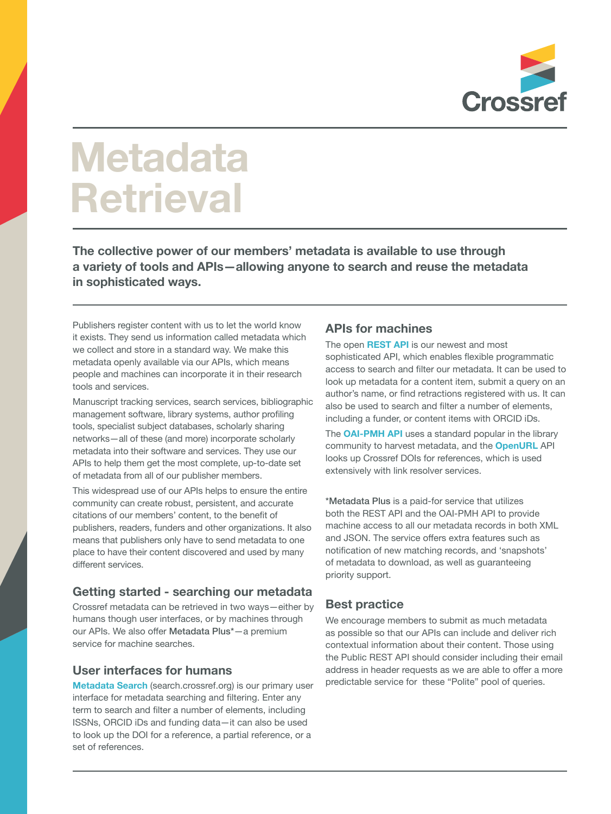

# **Metadata Retrieval**

**The collective power of our members' metadata is available to use through a variety of tools and APIs—allowing anyone to search and reuse the metadata in sophisticated ways.**

Publishers register content with us to let the world know it exists. They send us information called metadata which we collect and store in a standard way. We make this metadata openly available via our APIs, which means people and machines can incorporate it in their research tools and services.

Manuscript tracking services, search services, bibliographic management software, library systems, author profiling tools, specialist subject databases, scholarly sharing networks—all of these (and more) incorporate scholarly metadata into their software and services. They use our APIs to help them get the most complete, up-to-date set of metadata from all of our publisher members.

This widespread use of our APIs helps to ensure the entire community can create robust, persistent, and accurate citations of our members' content, to the benefit of publishers, readers, funders and other organizations. It also means that publishers only have to send metadata to one place to have their content discovered and used by many different services.

#### **Getting started - searching our metadata**

Crossref metadata can be retrieved in two ways—either by humans though user interfaces, or by machines through our APIs. We also offer Metadata Plus\*—a premium service for machine searches.

#### **User interfaces for humans**

**Metadata Search** (search.crossref.org) is our primary user interface for metadata searching and filtering. Enter any term to search and filter a number of elements, including ISSNs, ORCID iDs and funding data—it can also be used to look up the DOI for a reference, a partial reference, or a set of references.

### **APIs for machines**

The open **REST API** is our newest and most sophisticated API, which enables flexible programmatic access to search and filter our metadata. It can be used to look up metadata for a content item, submit a query on an author's name, or find retractions registered with us. It can also be used to search and filter a number of elements, including a funder, or content items with ORCID iDs.

The **OAI-PMH API** uses a standard popular in the library community to harvest metadata, and the **OpenURL** API looks up Crossref DOIs for references, which is used extensively with link resolver services.

\*Metadata Plus is a paid-for service that utilizes both the REST API and the OAI-PMH API to provide machine access to all our metadata records in both XML and JSON. The service offers extra features such as notification of new matching records, and 'snapshots' of metadata to download, as well as guaranteeing priority support.

## **Best practice**

We encourage members to submit as much metadata as possible so that our APIs can include and deliver rich contextual information about their content. Those using the Public REST API should consider including their email address in header requests as we are able to offer a more predictable service for these "Polite" pool of queries.